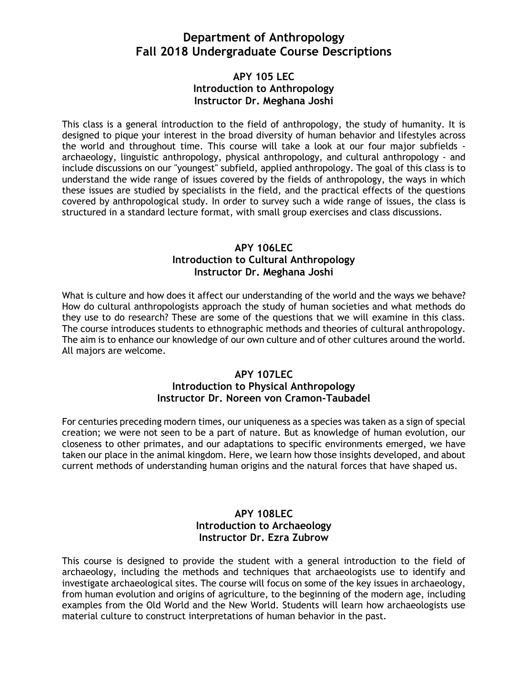# **Department of Anthropology Fall 2018 Undergraduate Course Descriptions**

### **APY 105 LEC Introduction to Anthropology Instructor Dr. Meghana Joshi**

This class is a general introduction to the field of anthropology, the study of humanity. It is designed to pique your interest in the broad diversity of human behavior and lifestyles across the world and throughout time. This course will take a look at our four major subfields archaeology, linguistic anthropology, physical anthropology, and cultural anthropology - and include discussions on our "youngest" subfield, applied anthropology. The goal of this class is to understand the wide range of issues covered by the fields of anthropology, the ways in which these issues are studied by specialists in the field, and the practical effects of the questions covered by anthropological study. In order to survey such a wide range of issues, the class is structured in a standard lecture format, with small group exercises and class discussions.

## **APY 106LEC Introduction to Cultural Anthropology Instructor Dr. Meghana Joshi**

What is culture and how does it affect our understanding of the world and the ways we behave? How do cultural anthropologists approach the study of human societies and what methods do they use to do research? These are some of the questions that we will examine in this class. The course introduces students to ethnographic methods and theories of cultural anthropology. The aim is to enhance our knowledge of our own culture and of other cultures around the world. All majors are welcome.

### **APY 107LEC Introduction to Physical Anthropology Instructor Dr. Noreen von Cramon-Taubadel**

For centuries preceding modern times, our uniqueness as a species was taken as a sign of special creation; we were not seen to be a part of nature. But as knowledge of human evolution, our closeness to other primates, and our adaptations to specific environments emerged, we have taken our place in the animal kingdom. Here, we learn how those insights developed, and about current methods of understanding human origins and the natural forces that have shaped us.

### **APY 108LEC Introduction to Archaeology Instructor Dr. Ezra Zubrow**

This course is designed to provide the student with a general introduction to the field of archaeology, including the methods and techniques that archaeologists use to identify and investigate archaeological sites. The course will focus on some of the key issues in archaeology, from human evolution and origins of agriculture, to the beginning of the modern age, including examples from the Old World and the New World. Students will learn how archaeologists use material culture to construct interpretations of human behavior in the past.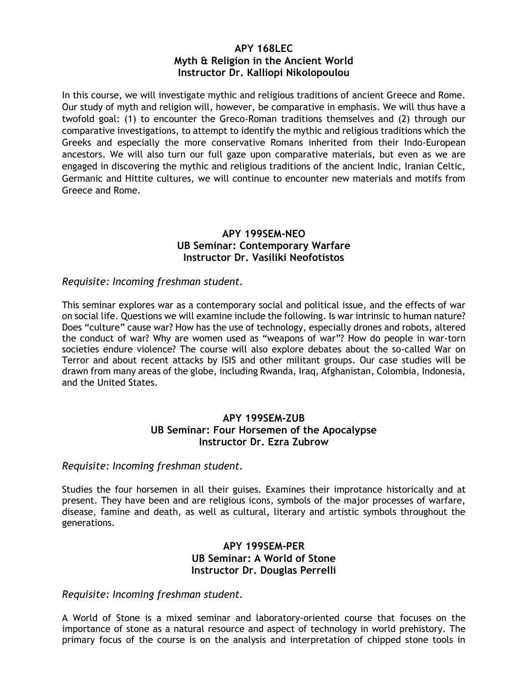### **APY 168LEC Myth & Religion in the Ancient World Instructor Dr. Kalliopi Nikolopoulou**

In this course, we will investigate mythic and religious traditions of ancient Greece and Rome. Our study of myth and religion will, however, be comparative in emphasis. We will thus have a twofold goal: (1) to encounter the Greco-Roman traditions themselves and (2) through our comparative investigations, to attempt to identify the mythic and religious traditions which the Greeks and especially the more conservative Romans inherited from their Indo-European ancestors. We will also turn our full gaze upon comparative materials, but even as we are engaged in discovering the mythic and religious traditions of the ancient Indic, Iranian Celtic, Germanic and Hittite cultures, we will continue to encounter new materials and motifs from Greece and Rome.

### **APY 199SEM-NEO UB Seminar: Contemporary Warfare Instructor Dr. Vasiliki Neofotistos**

#### *Requisite: Incoming freshman student.*

This seminar explores war as a contemporary social and political issue, and the effects of war on social life. Questions we will examine include the following. Is war intrinsic to human nature? Does "culture" cause war? How has the use of technology, especially drones and robots, altered the conduct of war? Why are women used as "weapons of war"? How do people in war-torn societies endure violence? The course will also explore debates about the so-called War on Terror and about recent attacks by ISIS and other militant groups. Our case studies will be drawn from many areas of the globe, including Rwanda, Iraq, Afghanistan, Colombia, Indonesia, and the United States.

### **APY 199SEM-ZUB UB Seminar: Four Horsemen of the Apocalypse Instructor Dr. Ezra Zubrow**

#### *Requisite: Incoming freshman student.*

Studies the four horsemen in all their guises. Examines their improtance historically and at present. They have been and are religious icons, symbols of the major processes of warfare, disease, famine and death, as well as cultural, literary and artistic symbols throughout the generations.

### **APY 199SEM-PER UB Seminar: A World of Stone Instructor Dr. Douglas Perrelli**

#### *Requisite: Incoming freshman student.*

A World of Stone is a mixed seminar and laboratory-oriented course that focuses on the importance of stone as a natural resource and aspect of technology in world prehistory. The primary focus of the course is on the analysis and interpretation of chipped stone tools in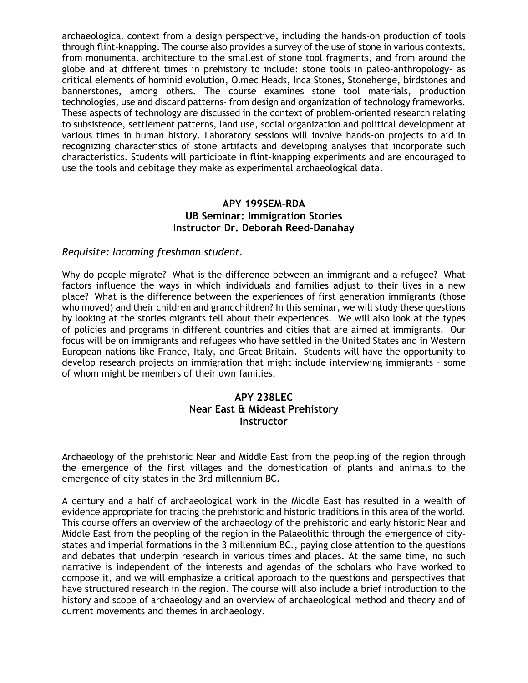archaeological context from a design perspective, including the hands-on production of tools through flint-knapping. The course also provides a survey of the use of stone in various contexts, from monumental architecture to the smallest of stone tool fragments, and from around the globe and at different times in prehistory to include: stone tools in paleo-anthropology- as critical elements of hominid evolution, Olmec Heads, Inca Stones, Stonehenge, birdstones and bannerstones, among others. The course examines stone tool materials, production technologies, use and discard patterns- from design and organization of technology frameworks. These aspects of technology are discussed in the context of problem-oriented research relating to subsistence, settlement patterns, land use, social organization and political development at various times in human history. Laboratory sessions will involve hands-on projects to aid in recognizing characteristics of stone artifacts and developing analyses that incorporate such characteristics. Students will participate in flint-knapping experiments and are encouraged to use the tools and debitage they make as experimental archaeological data.

#### **APY 199SEM-RDA UB Seminar: Immigration Stories Instructor Dr. Deborah Reed-Danahay**

### *Requisite: Incoming freshman student.*

Why do people migrate? What is the difference between an immigrant and a refugee? What factors influence the ways in which individuals and families adjust to their lives in a new place? What is the difference between the experiences of first generation immigrants (those who moved) and their children and grandchildren? In this seminar, we will study these questions by looking at the stories migrants tell about their experiences. We will also look at the types of policies and programs in different countries and cities that are aimed at immigrants. Our focus will be on immigrants and refugees who have settled in the United States and in Western European nations like France, Italy, and Great Britain. Students will have the opportunity to develop research projects on immigration that might include interviewing immigrants – some of whom might be members of their own families.

### **APY 238LEC Near East & Mideast Prehistory Instructor**

Archaeology of the prehistoric Near and Middle East from the peopling of the region through the emergence of the first villages and the domestication of plants and animals to the emergence of city-states in the 3rd millennium BC.

A century and a half of archaeological work in the Middle East has resulted in a wealth of evidence appropriate for tracing the prehistoric and historic traditions in this area of the world. This course offers an overview of the archaeology of the prehistoric and early historic Near and Middle East from the peopling of the region in the Palaeolithic through the emergence of citystates and imperial formations in the 3 millennium BC., paying close attention to the questions and debates that underpin research in various times and places. At the same time, no such narrative is independent of the interests and agendas of the scholars who have worked to compose it, and we will emphasize a critical approach to the questions and perspectives that have structured research in the region. The course will also include a brief introduction to the history and scope of archaeology and an overview of archaeological method and theory and of current movements and themes in archaeology.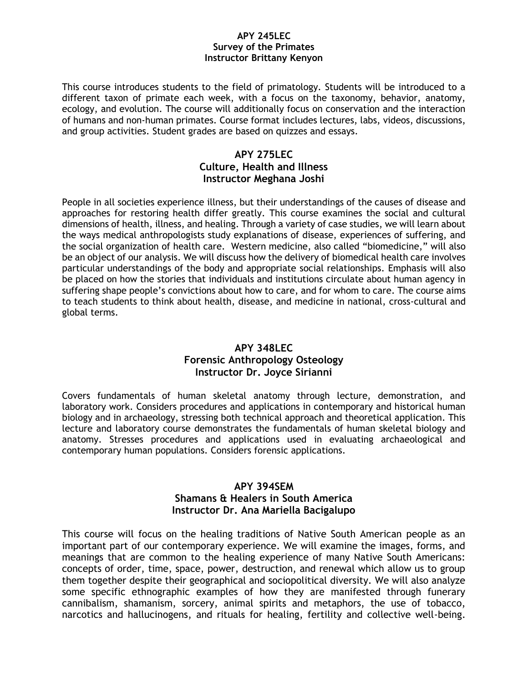#### **APY 245LEC Survey of the Primates Instructor Brittany Kenyon**

This course introduces students to the field of primatology. Students will be introduced to a different taxon of primate each week, with a focus on the taxonomy, behavior, anatomy, ecology, and evolution. The course will additionally focus on conservation and the interaction of humans and non-human primates. Course format includes lectures, labs, videos, discussions, and group activities. Student grades are based on quizzes and essays.

### **APY 275LEC Culture, Health and Illness Instructor Meghana Joshi**

People in all societies experience illness, but their understandings of the causes of disease and approaches for restoring health differ greatly. This course examines the social and cultural dimensions of health, illness, and healing. Through a variety of case studies, we will learn about the ways medical anthropologists study explanations of disease, experiences of suffering, and the social organization of health care. Western medicine, also called "biomedicine," will also be an object of our analysis. We will discuss how the delivery of biomedical health care involves particular understandings of the body and appropriate social relationships. Emphasis will also be placed on how the stories that individuals and institutions circulate about human agency in suffering shape people's convictions about how to care, and for whom to care. The course aims to teach students to think about health, disease, and medicine in national, cross-cultural and global terms.

## **APY 348LEC Forensic Anthropology Osteology Instructor Dr. Joyce Sirianni**

Covers fundamentals of human skeletal anatomy through lecture, demonstration, and laboratory work. Considers procedures and applications in contemporary and historical human biology and in archaeology, stressing both technical approach and theoretical application. This lecture and laboratory course demonstrates the fundamentals of human skeletal biology and anatomy. Stresses procedures and applications used in evaluating archaeological and contemporary human populations. Considers forensic applications.

### **APY 394SEM Shamans & Healers in South America Instructor Dr. Ana Mariella Bacigalupo**

This course will focus on the healing traditions of Native South American people as an important part of our contemporary experience. We will examine the images, forms, and meanings that are common to the healing experience of many Native South Americans: concepts of order, time, space, power, destruction, and renewal which allow us to group them together despite their geographical and sociopolitical diversity. We will also analyze some specific ethnographic examples of how they are manifested through funerary cannibalism, shamanism, sorcery, animal spirits and metaphors, the use of tobacco, narcotics and hallucinogens, and rituals for healing, fertility and collective well-being.